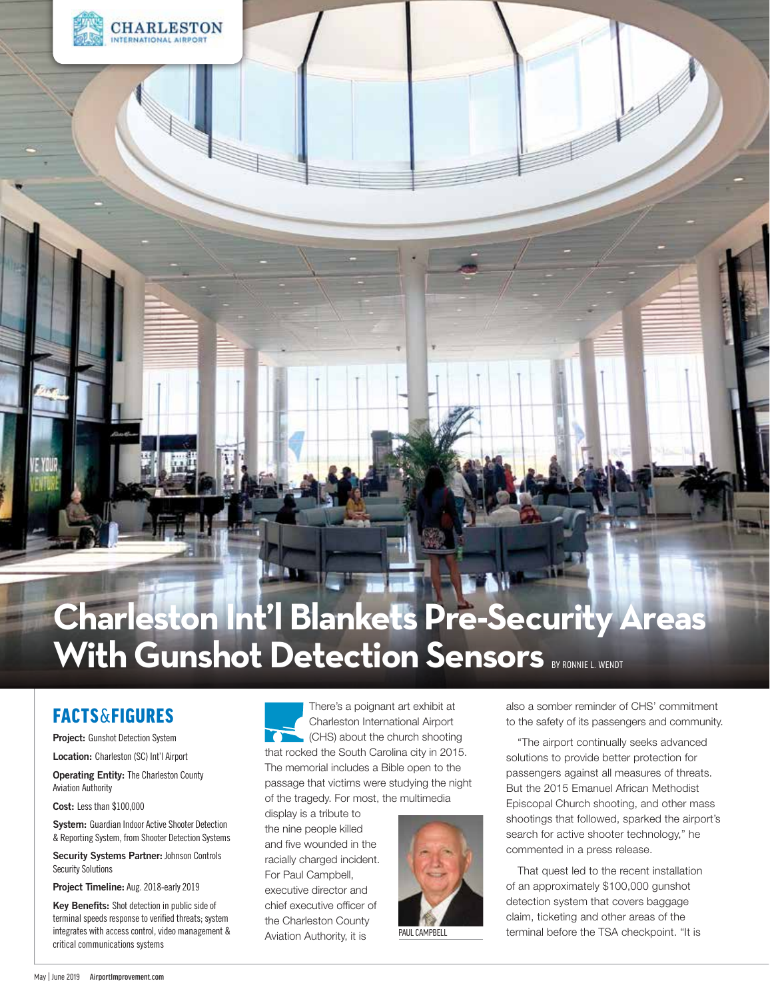

# **Charleston Int'l Blankets Pre-Security Areas With Gunshot Detection Sensors BY RONNIE L. WENDT**

### FACTS&FIGURES

Project: Gunshot Detection System

Location: Charleston (SC) Int'l Airport

Operating Entity: The Charleston County Aviation Authority

Cost: Less than \$100,000

System: Guardian Indoor Active Shooter Detection & Reporting System, from Shooter Detection Systems

Security Systems Partner: Johnson Controls Security Solutions

Project Timeline: Aug. 2018-early 2019

Key Benefits: Shot detection in public side of terminal speeds response to verified threats; system integrates with access control, video management & critical communications systems

There's a poignant art exhibit at Charleston International Airport (CHS) about the church shooting that rocked the South Carolina city in 2015. The memorial includes a Bible open to the passage that victims were studying the night of the tragedy. For most, the multimedia

display is a tribute to the nine people killed and five wounded in the racially charged incident. For Paul Campbell, executive director and chief executive officer of the Charleston County Aviation Authority, it is



also a somber reminder of CHS' commitment to the safety of its passengers and community.

"The airport continually seeks advanced solutions to provide better protection for passengers against all measures of threats. But the 2015 Emanuel African Methodist Episcopal Church shooting, and other mass shootings that followed, sparked the airport's search for active shooter technology," he commented in a press release.

That quest led to the recent installation of an approximately \$100,000 gunshot detection system that covers baggage claim, ticketing and other areas of the terminal before the TSA checkpoint. "It is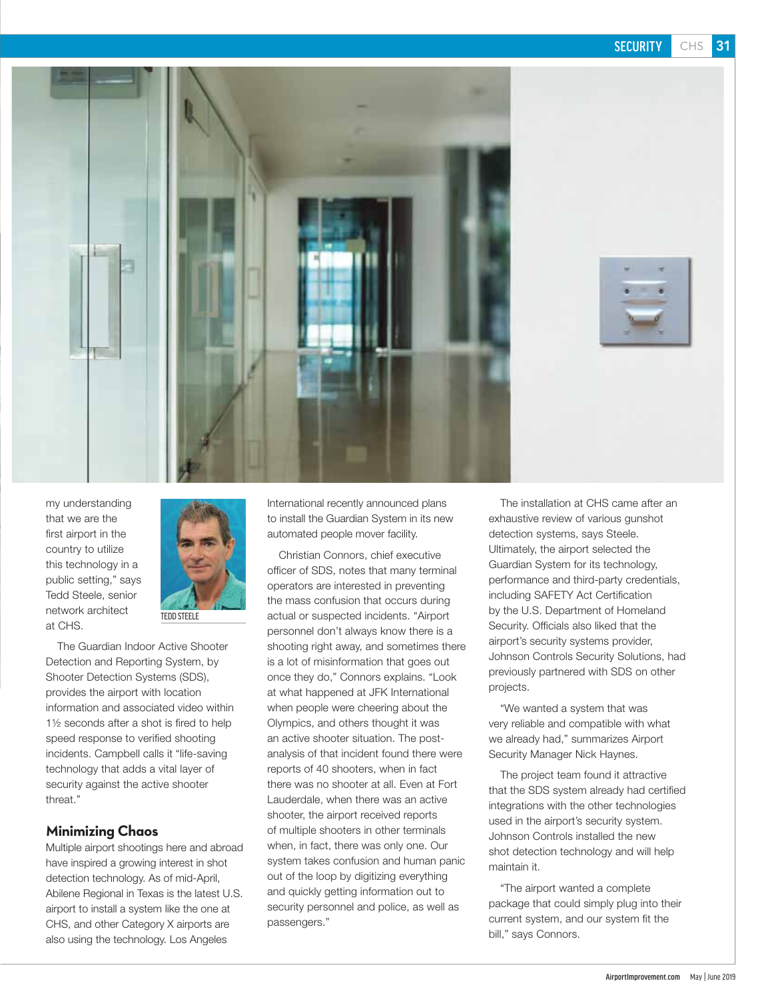$CHS$ **SECURITY** 



my understanding that we are the first airport in the country to utilize this technology in a public setting," says Tedd Steele, senior network architect at CHS.



The Guardian Indoor Active Shooter Detection and Reporting System, by Shooter Detection Systems (SDS), provides the airport with location information and associated video within 1½ seconds after a shot is fired to help speed response to verified shooting incidents. Campbell calls it "life-saving technology that adds a vital layer of security against the active shooter threat."

#### **Minimizing Chaos**

Multiple airport shootings here and abroad have inspired a growing interest in shot detection technology. As of mid-April, Abilene Regional in Texas is the latest U.S. airport to install a system like the one at CHS, and other Category X airports are also using the technology. Los Angeles

International recently announced plans to install the Guardian System in its new automated people mover facility.

Christian Connors, chief executive officer of SDS, notes that many terminal operators are interested in preventing the mass confusion that occurs during actual or suspected incidents. "Airport personnel don't always know there is a shooting right away, and sometimes there is a lot of misinformation that goes out once they do," Connors explains. "Look at what happened at JFK International when people were cheering about the Olympics, and others thought it was an active shooter situation. The postanalysis of that incident found there were reports of 40 shooters, when in fact there was no shooter at all. Even at Fort Lauderdale, when there was an active shooter, the airport received reports of multiple shooters in other terminals when, in fact, there was only one. Our system takes confusion and human panic out of the loop by digitizing everything and quickly getting information out to security personnel and police, as well as passengers."

The installation at CHS came after an exhaustive review of various gunshot detection systems, says Steele. Ultimately, the airport selected the Guardian System for its technology, performance and third-party credentials, including SAFETY Act Certification by the U.S. Department of Homeland Security. Officials also liked that the airport's security systems provider, Johnson Controls Security Solutions, had previously partnered with SDS on other projects.

"We wanted a system that was very reliable and compatible with what we already had," summarizes Airport Security Manager Nick Haynes.

The project team found it attractive that the SDS system already had certified integrations with the other technologies used in the airport's security system. Johnson Controls installed the new shot detection technology and will help maintain it.

"The airport wanted a complete package that could simply plug into their current system, and our system fit the bill," says Connors.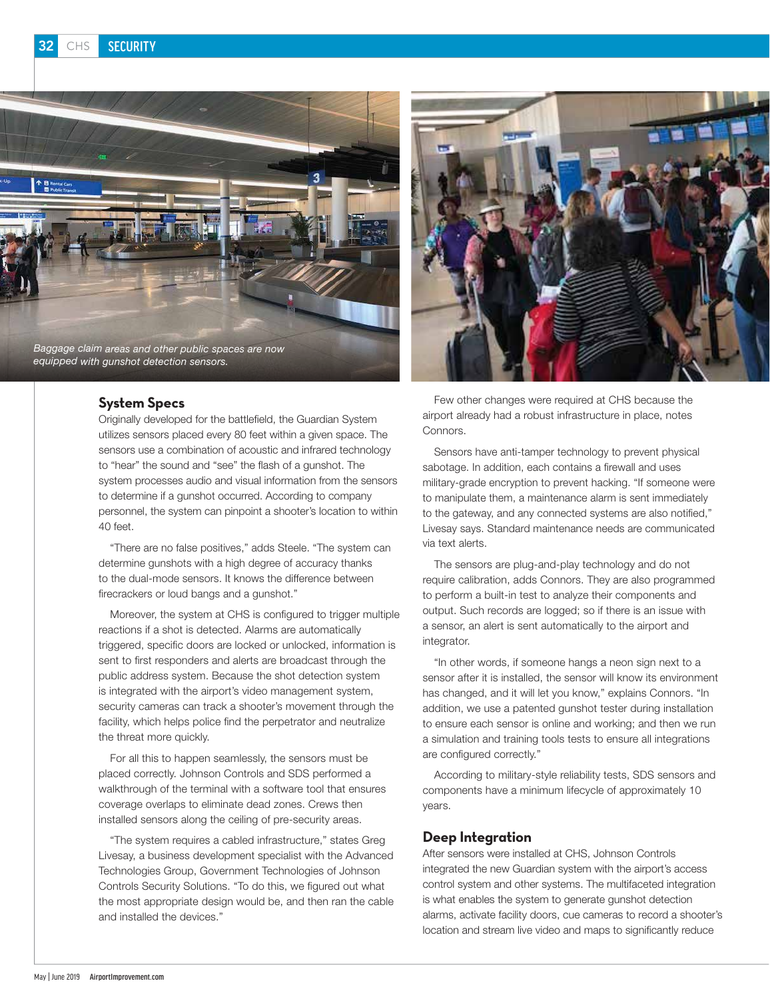

#### **System Specs**

Originally developed for the battlefield, the Guardian System utilizes sensors placed every 80 feet within a given space. The sensors use a combination of acoustic and infrared technology to "hear" the sound and "see" the flash of a gunshot. The system processes audio and visual information from the sensors to determine if a gunshot occurred. According to company personnel, the system can pinpoint a shooter's location to within 40 feet.

"There are no false positives," adds Steele. "The system can determine gunshots with a high degree of accuracy thanks to the dual-mode sensors. It knows the difference between firecrackers or loud bangs and a gunshot."

Moreover, the system at CHS is configured to trigger multiple reactions if a shot is detected. Alarms are automatically triggered, specific doors are locked or unlocked, information is sent to first responders and alerts are broadcast through the public address system. Because the shot detection system is integrated with the airport's video management system, security cameras can track a shooter's movement through the facility, which helps police find the perpetrator and neutralize the threat more quickly.

For all this to happen seamlessly, the sensors must be placed correctly. Johnson Controls and SDS performed a walkthrough of the terminal with a software tool that ensures coverage overlaps to eliminate dead zones. Crews then installed sensors along the ceiling of pre-security areas.

"The system requires a cabled infrastructure," states Greg Livesay, a business development specialist with the Advanced Technologies Group, Government Technologies of Johnson Controls Security Solutions. "To do this, we figured out what the most appropriate design would be, and then ran the cable and installed the devices."



Few other changes were required at CHS because the airport already had a robust infrastructure in place, notes Connors.

Sensors have anti-tamper technology to prevent physical sabotage. In addition, each contains a firewall and uses military-grade encryption to prevent hacking. "If someone were to manipulate them, a maintenance alarm is sent immediately to the gateway, and any connected systems are also notified," Livesay says. Standard maintenance needs are communicated via text alerts.

The sensors are plug-and-play technology and do not require calibration, adds Connors. They are also programmed to perform a built-in test to analyze their components and output. Such records are logged; so if there is an issue with a sensor, an alert is sent automatically to the airport and integrator.

"In other words, if someone hangs a neon sign next to a sensor after it is installed, the sensor will know its environment has changed, and it will let you know," explains Connors. "In addition, we use a patented gunshot tester during installation to ensure each sensor is online and working; and then we run a simulation and training tools tests to ensure all integrations are configured correctly."

According to military-style reliability tests, SDS sensors and components have a minimum lifecycle of approximately 10 years.

#### **Deep Integration**

After sensors were installed at CHS, Johnson Controls integrated the new Guardian system with the airport's access control system and other systems. The multifaceted integration is what enables the system to generate gunshot detection alarms, activate facility doors, cue cameras to record a shooter's location and stream live video and maps to significantly reduce